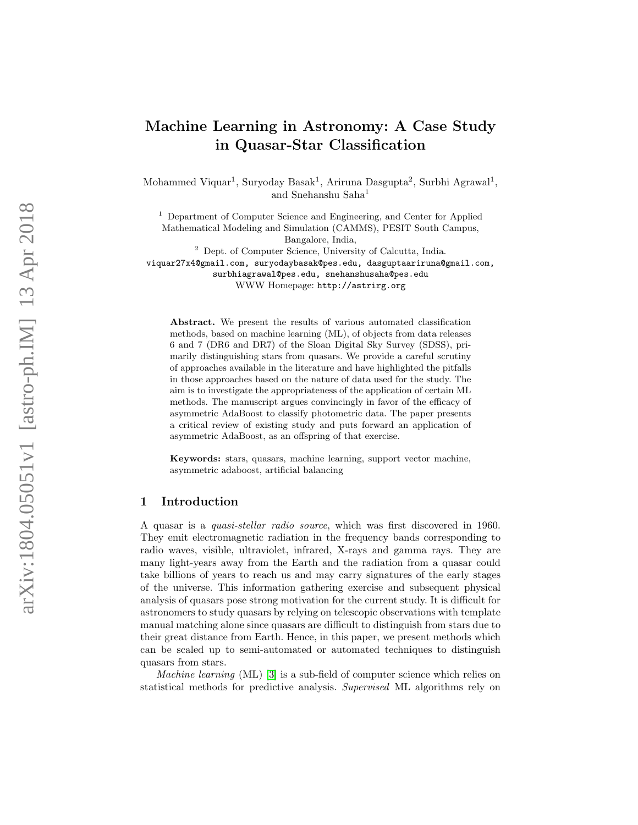# Machine Learning in Astronomy: A Case Study in Quasar-Star Classification

Mohammed Viquar<sup>1</sup>, Suryoday Basak<sup>1</sup>, Ariruna Dasgupta<sup>2</sup>, Surbhi Agrawal<sup>1</sup>, and Snehanshu Saha 1

<sup>1</sup> Department of Computer Science and Engineering, and Center for Applied Mathematical Modeling and Simulation (CAMMS), PESIT South Campus, Bangalore, India,

<sup>2</sup> Dept. of Computer Science, University of Calcutta, India. viquar27x4@gmail.com, suryodaybasak@pes.edu, dasguptaariruna@gmail.com, surbhiagrawal@pes.edu, snehanshusaha@pes.edu

WWW Homepage: http://astrirg.org

Abstract. We present the results of various automated classification methods, based on machine learning (ML), of objects from data releases 6 and 7 (DR6 and DR7) of the Sloan Digital Sky Survey (SDSS), primarily distinguishing stars from quasars. We provide a careful scrutiny of approaches available in the literature and have highlighted the pitfalls in those approaches based on the nature of data used for the study. The aim is to investigate the appropriateness of the application of certain ML methods. The manuscript argues convincingly in favor of the efficacy of asymmetric AdaBoost to classify photometric data. The paper presents a critical review of existing study and puts forward an application of asymmetric AdaBoost, as an offspring of that exercise.

Keywords: stars, quasars, machine learning, support vector machine, asymmetric adaboost, artificial balancing

# 1 Introduction

A quasar is a quasi-stellar radio source, which was first discovered in 1960. They emit electromagnetic radiation in the frequency bands corresponding to radio waves, visible, ultraviolet, infrared, X-rays and gamma rays. They are many light-years away from the Earth and the radiation from a quasar could take billions of years to reach us and may carry signatures of the early stages of the universe. This information gathering exercise and subsequent physical analysis of quasars pose strong motivation for the current study. It is difficult for astronomers to study quasars by relying on telescopic observations with template manual matching alone since quasars are difficult to distinguish from stars due to their great distance from Earth. Hence, in this paper, we present methods which can be scaled up to semi-automated or automated techniques to distinguish quasars from stars.

Machine learning (ML) [\[3\]](#page-9-0) is a sub-field of computer science which relies on statistical methods for predictive analysis. Supervised ML algorithms rely on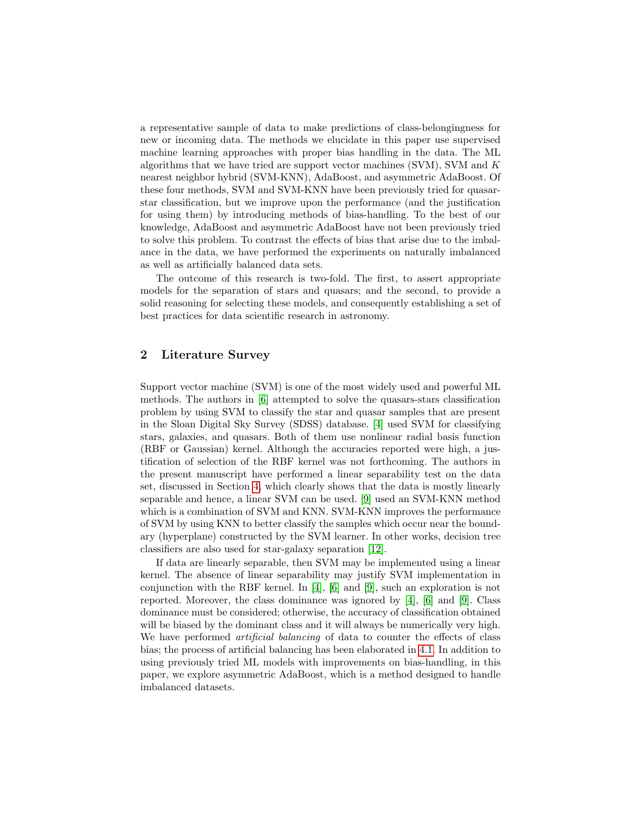a representative sample of data to make predictions of class-belongingness for new or incoming data. The methods we elucidate in this paper use supervised machine learning approaches with proper bias handling in the data. The ML algorithms that we have tried are support vector machines (SVM), SVM and K nearest neighbor hybrid (SVM-KNN), AdaBoost, and asymmetric AdaBoost. Of these four methods, SVM and SVM-KNN have been previously tried for quasarstar classification, but we improve upon the performance (and the justification for using them) by introducing methods of bias-handling. To the best of our knowledge, AdaBoost and asymmetric AdaBoost have not been previously tried to solve this problem. To contrast the effects of bias that arise due to the imbalance in the data, we have performed the experiments on naturally imbalanced as well as artificially balanced data sets.

The outcome of this research is two-fold. The first, to assert appropriate models for the separation of stars and quasars; and the second, to provide a solid reasoning for selecting these models, and consequently establishing a set of best practices for data scientific research in astronomy.

# 2 Literature Survey

Support vector machine (SVM) is one of the most widely used and powerful ML methods. The authors in [\[6\]](#page-9-1) attempted to solve the quasars-stars classification problem by using SVM to classify the star and quasar samples that are present in the Sloan Digital Sky Survey (SDSS) database. [\[4\]](#page-9-2) used SVM for classifying stars, galaxies, and quasars. Both of them use nonlinear radial basis function (RBF or Gaussian) kernel. Although the accuracies reported were high, a justification of selection of the RBF kernel was not forthcoming. The authors in the present manuscript have performed a linear separability test on the data set, discussed in Section [4,](#page-2-0) which clearly shows that the data is mostly linearly separable and hence, a linear SVM can be used. [\[9\]](#page-9-3) used an SVM-KNN method which is a combination of SVM and KNN. SVM-KNN improves the performance of SVM by using KNN to better classify the samples which occur near the boundary (hyperplane) constructed by the SVM learner. In other works, decision tree classifiers are also used for star-galaxy separation [\[12\]](#page-9-4).

If data are linearly separable, then SVM may be implemented using a linear kernel. The absence of linear separability may justify SVM implementation in conjunction with the RBF kernel. In [\[4\]](#page-9-2), [\[6\]](#page-9-1) and [\[9\]](#page-9-3), such an exploration is not reported. Moreover, the class dominance was ignored by [\[4\]](#page-9-2), [\[6\]](#page-9-1) and [\[9\]](#page-9-3). Class dominance must be considered; otherwise, the accuracy of classification obtained will be biased by the dominant class and it will always be numerically very high. We have performed *artificial balancing* of data to counter the effects of class bias; the process of artificial balancing has been elaborated in [4.1.](#page-2-1) In addition to using previously tried ML models with improvements on bias-handling, in this paper, we explore asymmetric AdaBoost, which is a method designed to handle imbalanced datasets.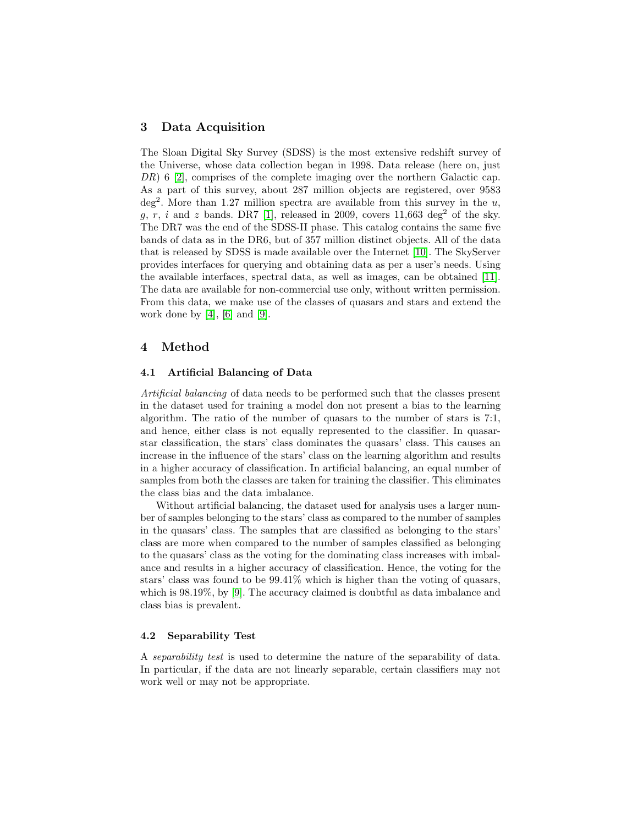# 3 Data Acquisition

The Sloan Digital Sky Survey (SDSS) is the most extensive redshift survey of the Universe, whose data collection began in 1998. Data release (here on, just DR) 6 [\[2\]](#page-9-5), comprises of the complete imaging over the northern Galactic cap. As a part of this survey, about 287 million objects are registered, over 9583  $\text{deg}^2$ . More than 1.27 million spectra are available from this survey in the u, g, r, i and z bands. DR7 [\[1\]](#page-9-6), released in 2009, covers  $11,663$  deg<sup>2</sup> of the sky. The DR7 was the end of the SDSS-II phase. This catalog contains the same five bands of data as in the DR6, but of 357 million distinct objects. All of the data that is released by SDSS is made available over the Internet [\[10\]](#page-9-7). The SkyServer provides interfaces for querying and obtaining data as per a user's needs. Using the available interfaces, spectral data, as well as images, can be obtained [\[11\]](#page-9-8). The data are available for non-commercial use only, without written permission. From this data, we make use of the classes of quasars and stars and extend the work done by  $[4]$ ,  $[6]$  and  $[9]$ .

# <span id="page-2-0"></span>4 Method

### <span id="page-2-1"></span>4.1 Artificial Balancing of Data

Artificial balancing of data needs to be performed such that the classes present in the dataset used for training a model don not present a bias to the learning algorithm. The ratio of the number of quasars to the number of stars is 7:1, and hence, either class is not equally represented to the classifier. In quasarstar classification, the stars' class dominates the quasars' class. This causes an increase in the influence of the stars' class on the learning algorithm and results in a higher accuracy of classification. In artificial balancing, an equal number of samples from both the classes are taken for training the classifier. This eliminates the class bias and the data imbalance.

Without artificial balancing, the dataset used for analysis uses a larger number of samples belonging to the stars' class as compared to the number of samples in the quasars' class. The samples that are classified as belonging to the stars' class are more when compared to the number of samples classified as belonging to the quasars' class as the voting for the dominating class increases with imbalance and results in a higher accuracy of classification. Hence, the voting for the stars' class was found to be 99.41% which is higher than the voting of quasars, which is 98.19%, by [\[9\]](#page-9-3). The accuracy claimed is doubtful as data imbalance and class bias is prevalent.

#### 4.2 Separability Test

A separability test is used to determine the nature of the separability of data. In particular, if the data are not linearly separable, certain classifiers may not work well or may not be appropriate.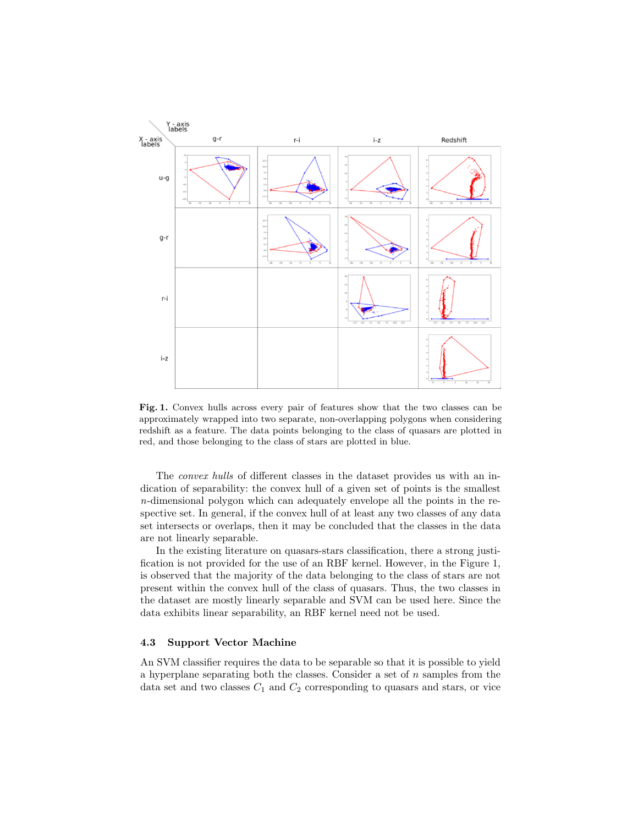

Fig. 1. Convex hulls across every pair of features show that the two classes can be approximately wrapped into two separate, non-overlapping polygons when considering redshift as a feature. The data points belonging to the class of quasars are plotted in red, and those belonging to the class of stars are plotted in blue.

The convex hulls of different classes in the dataset provides us with an indication of separability: the convex hull of a given set of points is the smallest n-dimensional polygon which can adequately envelope all the points in the respective set. In general, if the convex hull of at least any two classes of any data set intersects or overlaps, then it may be concluded that the classes in the data are not linearly separable.

In the existing literature on quasars-stars classification, there a strong justification is not provided for the use of an RBF kernel. However, in the Figure 1, is observed that the majority of the data belonging to the class of stars are not present within the convex hull of the class of quasars. Thus, the two classes in the dataset are mostly linearly separable and SVM can be used here. Since the data exhibits linear separability, an RBF kernel need not be used.

#### 4.3 Support Vector Machine

An SVM classifier requires the data to be separable so that it is possible to yield a hyperplane separating both the classes. Consider a set of  $n$  samples from the data set and two classes  $C_1$  and  $C_2$  corresponding to quasars and stars, or vice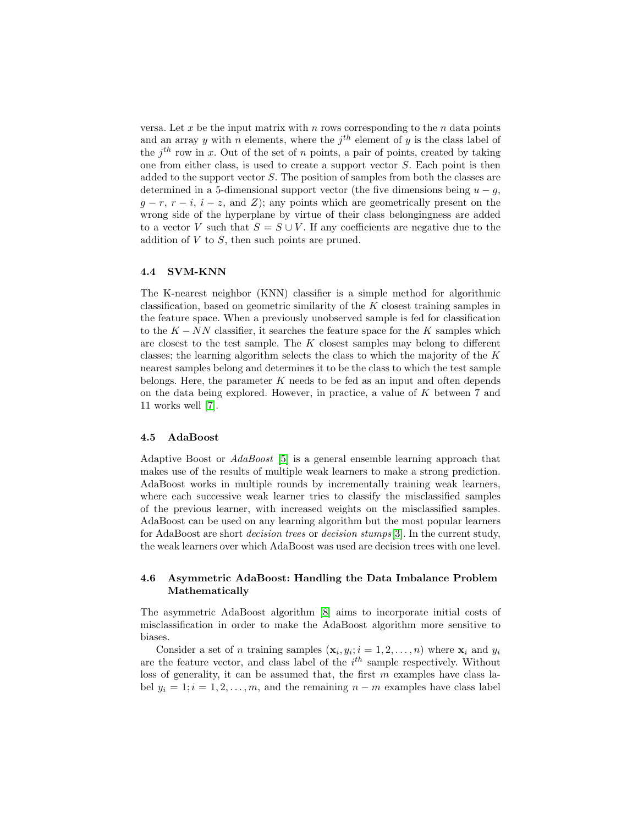versa. Let  $x$  be the input matrix with  $n$  rows corresponding to the  $n$  data points and an array y with n elements, where the  $j<sup>th</sup>$  element of y is the class label of the  $j<sup>th</sup>$  row in x. Out of the set of n points, a pair of points, created by taking one from either class, is used to create a support vector S. Each point is then added to the support vector S. The position of samples from both the classes are determined in a 5-dimensional support vector (the five dimensions being  $u - g$ ,  $g - r$ ,  $r - i$ ,  $i - z$ , and  $Z$ ); any points which are geometrically present on the wrong side of the hyperplane by virtue of their class belongingness are added to a vector V such that  $S = S \cup V$ . If any coefficients are negative due to the addition of  $V$  to  $S$ , then such points are pruned.

#### 4.4 SVM-KNN

The K-nearest neighbor (KNN) classifier is a simple method for algorithmic classification, based on geometric similarity of the K closest training samples in the feature space. When a previously unobserved sample is fed for classification to the  $K - NN$  classifier, it searches the feature space for the K samples which are closest to the test sample. The  $K$  closest samples may belong to different classes; the learning algorithm selects the class to which the majority of the K nearest samples belong and determines it to be the class to which the test sample belongs. Here, the parameter  $K$  needs to be fed as an input and often depends on the data being explored. However, in practice, a value of K between 7 and 11 works well [\[7\]](#page-9-9).

#### 4.5 AdaBoost

Adaptive Boost or AdaBoost [\[5\]](#page-9-10) is a general ensemble learning approach that makes use of the results of multiple weak learners to make a strong prediction. AdaBoost works in multiple rounds by incrementally training weak learners, where each successive weak learner tries to classify the misclassified samples of the previous learner, with increased weights on the misclassified samples. AdaBoost can be used on any learning algorithm but the most popular learners for AdaBoost are short decision trees or decision stumps[\[3\]](#page-9-0). In the current study, the weak learners over which AdaBoost was used are decision trees with one level.

# 4.6 Asymmetric AdaBoost: Handling the Data Imbalance Problem Mathematically

The asymmetric AdaBoost algorithm [\[8\]](#page-9-11) aims to incorporate initial costs of misclassification in order to make the AdaBoost algorithm more sensitive to biases.

Consider a set of *n* training samples  $(\mathbf{x}_i, y_i; i = 1, 2, ..., n)$  where  $\mathbf{x}_i$  and  $y_i$ are the feature vector, and class label of the  $i^{th}$  sample respectively. Without loss of generality, it can be assumed that, the first  $m$  examples have class label  $y_i = 1; i = 1, 2, \ldots, m$ , and the remaining  $n - m$  examples have class label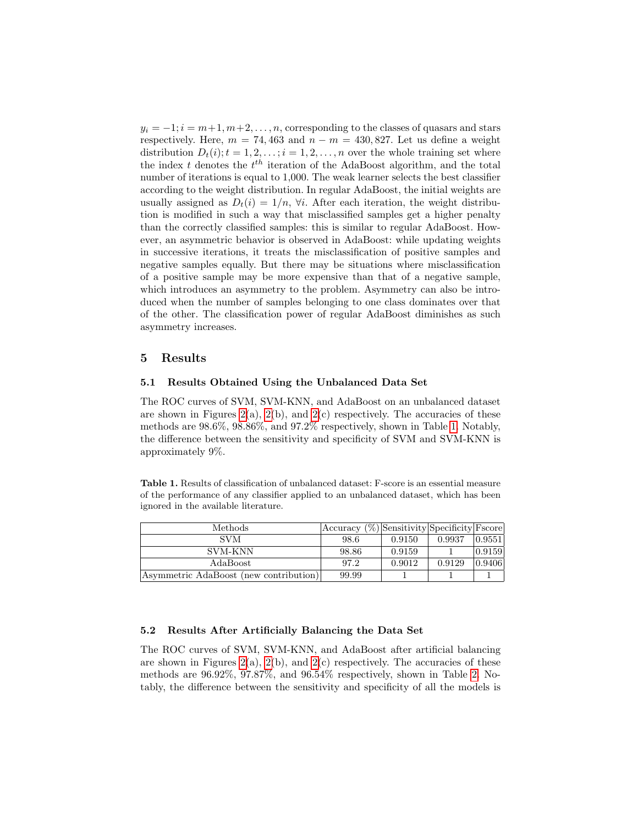$y_i = -1; i = m+1, m+2, \ldots, n$ , corresponding to the classes of quasars and stars respectively. Here,  $m = 74,463$  and  $n - m = 430,827$ . Let us define a weight distribution  $D_t(i); t = 1, 2, \ldots; i = 1, 2, \ldots, n$  over the whole training set where the index t denotes the  $t^{th}$  iteration of the AdaBoost algorithm, and the total number of iterations is equal to 1,000. The weak learner selects the best classifier according to the weight distribution. In regular AdaBoost, the initial weights are usually assigned as  $D_t(i) = 1/n$ ,  $\forall i$ . After each iteration, the weight distribution is modified in such a way that misclassified samples get a higher penalty than the correctly classified samples: this is similar to regular AdaBoost. However, an asymmetric behavior is observed in AdaBoost: while updating weights in successive iterations, it treats the misclassification of positive samples and negative samples equally. But there may be situations where misclassification of a positive sample may be more expensive than that of a negative sample, which introduces an asymmetry to the problem. Asymmetry can also be introduced when the number of samples belonging to one class dominates over that of the other. The classification power of regular AdaBoost diminishes as such asymmetry increases.

# 5 Results

#### 5.1 Results Obtained Using the Unbalanced Data Set

The ROC curves of SVM, SVM-KNN, and AdaBoost on an unbalanced dataset are shown in Figures [2\(](#page-7-0)a), 2(b), and 2(c) respectively. The accuracies of these methods are 98.6%, 98.86%, and 97.2% respectively, shown in Table [1.](#page-5-0) Notably, the difference between the sensitivity and specificity of SVM and SVM-KNN is approximately 9%.

<span id="page-5-0"></span>Table 1. Results of classification of unbalanced dataset: F-score is an essential measure of the performance of any classifier applied to an unbalanced dataset, which has been ignored in the available literature.

| Methods                                | $ Accuracy (\%) Sensitivity Specificity Fscore $ |        |        |        |
|----------------------------------------|--------------------------------------------------|--------|--------|--------|
| <b>SVM</b>                             | 98.6                                             | 0.9150 | 0.9937 | 0.9551 |
| <b>SVM-KNN</b>                         | 98.86                                            | 0.9159 |        | 0.9159 |
| AdaBoost                               | 97.2                                             | 0.9012 | 0.9129 | 0.9406 |
| Asymmetric AdaBoost (new contribution) | 99.99                                            |        |        |        |

#### 5.2 Results After Artificially Balancing the Data Set

The ROC curves of SVM, SVM-KNN, and AdaBoost after artificial balancing are shown in Figures [2\(](#page-7-0)a), 2(b), and 2(c) respectively. The accuracies of these methods are 96.92%, 97.87%, and 96.54% respectively, shown in Table [2.](#page-6-0) Notably, the difference between the sensitivity and specificity of all the models is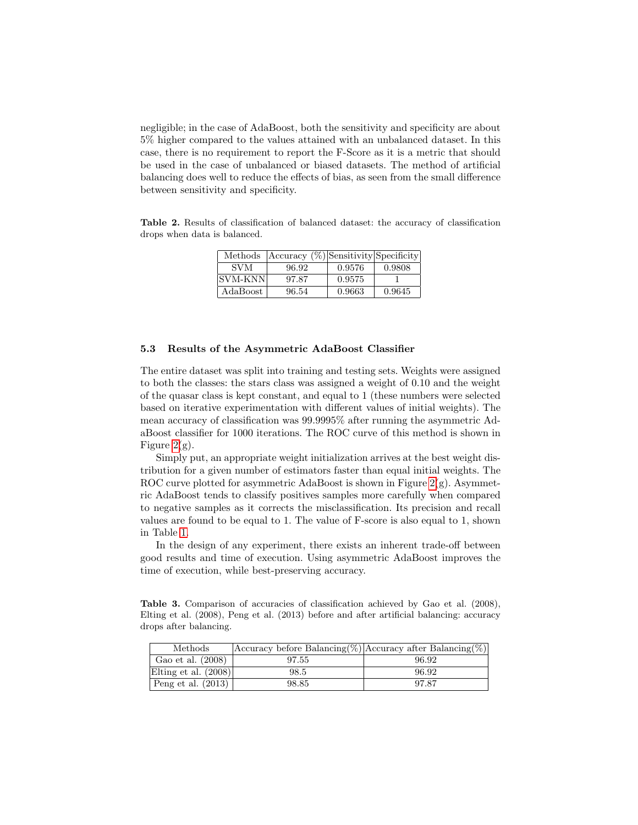negligible; in the case of AdaBoost, both the sensitivity and specificity are about 5% higher compared to the values attained with an unbalanced dataset. In this case, there is no requirement to report the F-Score as it is a metric that should be used in the case of unbalanced or biased datasets. The method of artificial balancing does well to reduce the effects of bias, as seen from the small difference between sensitivity and specificity.

<span id="page-6-0"></span>Table 2. Results of classification of balanced dataset: the accuracy of classification drops when data is balanced.

| Methods  | $ Accuracy (\%)$ Sensitivity Specificity |        |        |
|----------|------------------------------------------|--------|--------|
| SVM.     | 96.92                                    | 0.9576 | 0.9808 |
| SVM-KNN  | 97.87                                    | 0.9575 |        |
| AdaBoost | 96.54                                    | 0.9663 | 0.9645 |

#### 5.3 Results of the Asymmetric AdaBoost Classifier

The entire dataset was split into training and testing sets. Weights were assigned to both the classes: the stars class was assigned a weight of 0.10 and the weight of the quasar class is kept constant, and equal to 1 (these numbers were selected based on iterative experimentation with different values of initial weights). The mean accuracy of classification was 99.9995% after running the asymmetric AdaBoost classifier for 1000 iterations. The ROC curve of this method is shown in Figure  $2(g)$ .

Simply put, an appropriate weight initialization arrives at the best weight distribution for a given number of estimators faster than equal initial weights. The ROC curve plotted for asymmetric AdaBoost is shown in Figure  $2(g)$ . Asymmetric AdaBoost tends to classify positives samples more carefully when compared to negative samples as it corrects the misclassification. Its precision and recall values are found to be equal to 1. The value of F-score is also equal to 1, shown in Table [1.](#page-5-0)

In the design of any experiment, there exists an inherent trade-off between good results and time of execution. Using asymmetric AdaBoost improves the time of execution, while best-preserving accuracy.

Table 3. Comparison of accuracies of classification achieved by Gao et al. (2008), Elting et al. (2008), Peng et al. (2013) before and after artificial balancing: accuracy drops after balancing.

| Methods                | Accuracy before Balancing(%) Accuracy after Balancing(%) |       |
|------------------------|----------------------------------------------------------|-------|
| Gao et al. (2008)      | 97.55                                                    | 96.92 |
| Elting et al. $(2008)$ | 98.5                                                     | 96.92 |
| Peng et al. $(2013)$   | 98.85                                                    | 97.87 |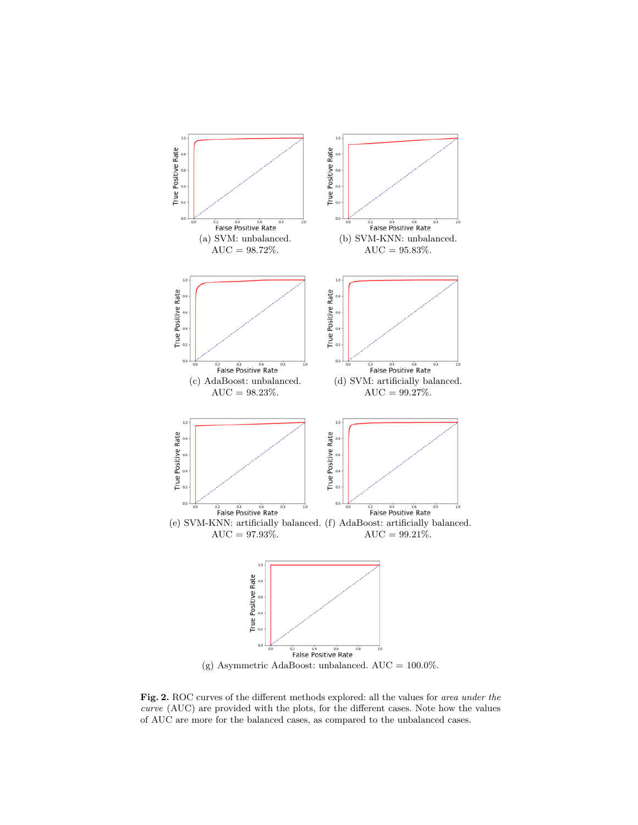

(g) Asymmetric AdaBoost: unbalanced.  $AUC = 100.0\%$ .

<span id="page-7-0"></span>Fig. 2. ROC curves of the different methods explored: all the values for area under the curve (AUC) are provided with the plots, for the different cases. Note how the values of AUC are more for the balanced cases, as compared to the unbalanced cases.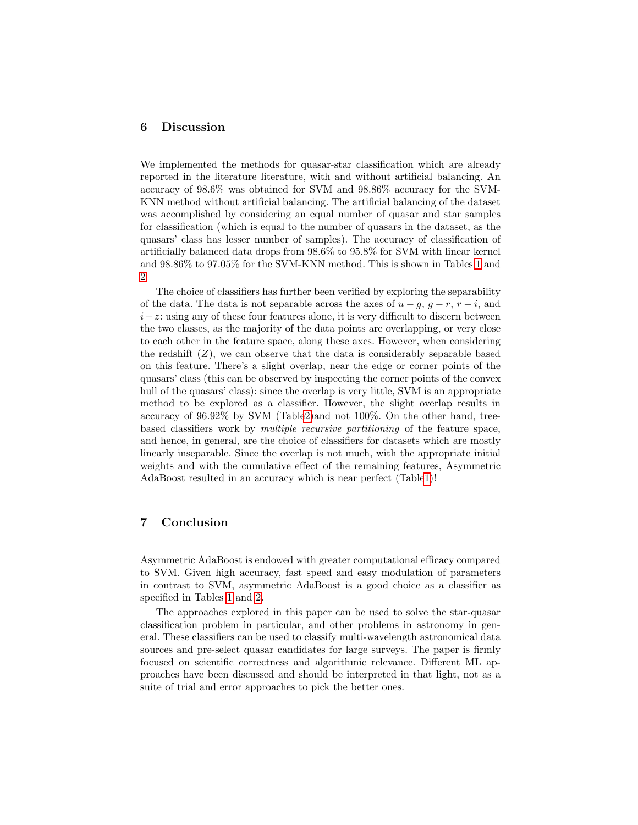# 6 Discussion

We implemented the methods for quasar-star classification which are already reported in the literature literature, with and without artificial balancing. An accuracy of 98.6% was obtained for SVM and 98.86% accuracy for the SVM-KNN method without artificial balancing. The artificial balancing of the dataset was accomplished by considering an equal number of quasar and star samples for classification (which is equal to the number of quasars in the dataset, as the quasars' class has lesser number of samples). The accuracy of classification of artificially balanced data drops from 98.6% to 95.8% for SVM with linear kernel and 98.86% to 97.05% for the SVM-KNN method. This is shown in Tables [1](#page-5-0) and [2.](#page-6-0)

The choice of classifiers has further been verified by exploring the separability of the data. The data is not separable across the axes of  $u - g$ ,  $g - r$ ,  $r - i$ , and  $i-z$ : using any of these four features alone, it is very difficult to discern between the two classes, as the majority of the data points are overlapping, or very close to each other in the feature space, along these axes. However, when considering the redshift  $(Z)$ , we can observe that the data is considerably separable based on this feature. There's a slight overlap, near the edge or corner points of the quasars' class (this can be observed by inspecting the corner points of the convex hull of the quasars' class): since the overlap is very little, SVM is an appropriate method to be explored as a classifier. However, the slight overlap results in accuracy of 96.92% by SVM (Tabl[e2\)](#page-6-0)and not 100%. On the other hand, treebased classifiers work by multiple recursive partitioning of the feature space, and hence, in general, are the choice of classifiers for datasets which are mostly linearly inseparable. Since the overlap is not much, with the appropriate initial weights and with the cumulative effect of the remaining features, Asymmetric AdaBoost resulted in an accuracy which is near perfect (Tabl[e1\)](#page-5-0)!

# 7 Conclusion

Asymmetric AdaBoost is endowed with greater computational efficacy compared to SVM. Given high accuracy, fast speed and easy modulation of parameters in contrast to SVM, asymmetric AdaBoost is a good choice as a classifier as specified in Tables [1](#page-5-0) and [2.](#page-6-0)

The approaches explored in this paper can be used to solve the star-quasar classification problem in particular, and other problems in astronomy in general. These classifiers can be used to classify multi-wavelength astronomical data sources and pre-select quasar candidates for large surveys. The paper is firmly focused on scientific correctness and algorithmic relevance. Different ML approaches have been discussed and should be interpreted in that light, not as a suite of trial and error approaches to pick the better ones.